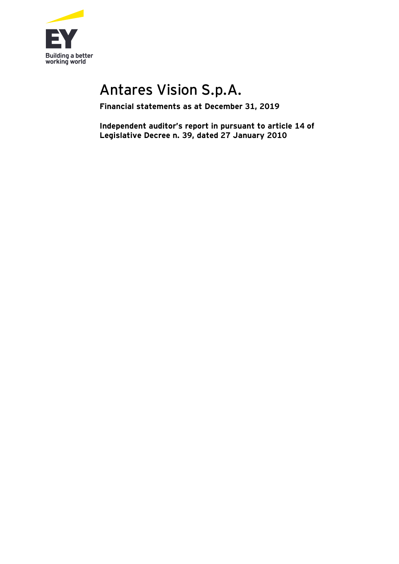

# Antares Vision S.p.A.

**Financial statements as at December 31, 2019**

**Independent auditor's report in pursuant to article 14 of Legislative Decree n. 39, dated 27 January 2010**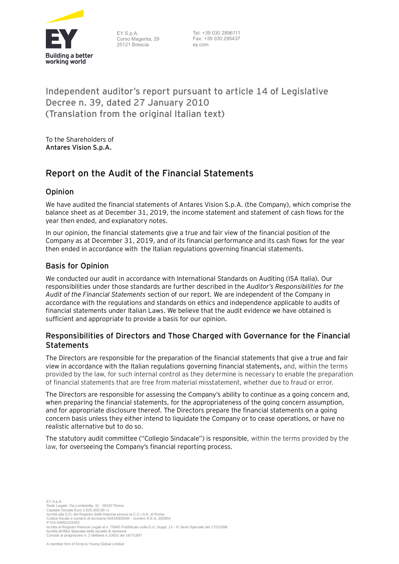

EY S.p.A. Corso Magenta, 29 25121 Brescia

Tel: +39 030 2896111 Fax: +39 030 295437 ey.com

## **Independent auditor's report pursuant to article 14 of Legislative Decree n. 39, dated 27 January 2010 (Translation from the original Italian text)**

To the Shareholders of **Antares Vision S.p.A.**

# **Report on the Audit of the Financial Statements**

#### **Opinion**

We have audited the financial statements of Antares Vision S.p.A. (the Company), which comprise the balance sheet as at December 31, 2019, the income statement and statement of cash flows for the year then ended, and explanatory notes.

In our opinion, the financial statements give a true and fair view of the financial position of the Company as at December 31, 2019, and of its financial performance and its cash flows for the year then ended in accordance with the Italian regulations governing financial statements.

#### **Basis for Opinion**

We conducted our audit in accordance with International Standards on Auditing (ISA Italia). Our responsibilities under those standards are further described in the *Auditor's Responsibilities for the Audit of the Financial Statements* section of our report. We are independent of the Company in accordance with the regulations and standards on ethics and independence applicable to audits of financial statements under Italian Laws. We believe that the audit evidence we have obtained is sufficient and appropriate to provide a basis for our opinion.

#### **Responsibilities of Directors and Those Charged with Governance for the Financial Statements**

The Directors are responsible for the preparation of the financial statements that give a true and fair view in accordance with the Italian regulations governing financial statements**,** and, within the terms provided by the law, for such internal control as they determine is necessary to enable the preparation of financial statements that are free from material misstatement, whether due to fraud or error.

The Directors are responsible for assessing the Company's ability to continue as a going concern and, when preparing the financial statements, for the appropriateness of the going concern assumption, and for appropriate disclosure thereof. The Directors prepare the financial statements on a going concern basis unless they either intend to liquidate the Company or to cease operations, or have no realistic alternative but to do so.

The statutory audit committee ("Collegio Sindacale") is responsible, within the terms provided by the law, for overseeing the Company's financial reporting process.

 $EV$  S  $n$  A Sede Legale: Via Lombardia, 31 - 00187 Roma Capitale Sociale Euro 2.525.000,00 i.v. Iscritta alla S.O. del Registro delle Imprese presso la C.C.I.A.A. di Roma Codice fiscale e numero di iscrizione 00434000584 - numero R.E.A. 250904 P.IVA 00891231003 Iscritta al Registro Revisori Legali al n. 70945 Pubblicato sulla G.U. Suppl. 13 - IV Serie Speciale del 17/2/1998 Iscritta all'Albo Speciale delle società di revisione Consob al progressivo n. 2 delibera n.10831 del 16/7/1997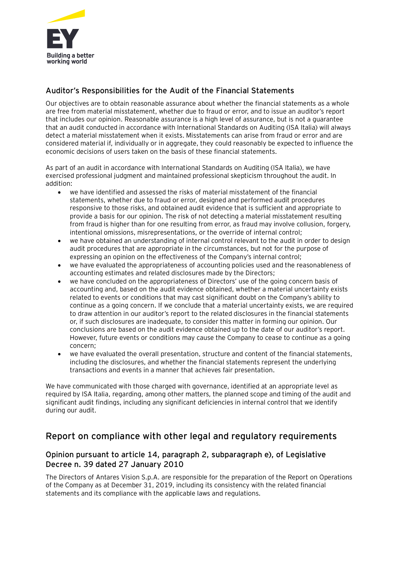

#### **Auditor's Responsibilities for the Audit of the Financial Statements**

Our objectives are to obtain reasonable assurance about whether the financial statements as a whole are free from material misstatement, whether due to fraud or error, and to issue an auditor's report that includes our opinion. Reasonable assurance is a high level of assurance, but is not a guarantee that an audit conducted in accordance with International Standards on Auditing (ISA Italia) will always detect a material misstatement when it exists. Misstatements can arise from fraud or error and are considered material if, individually or in aggregate, they could reasonably be expected to influence the economic decisions of users taken on the basis of these financial statements.

As part of an audit in accordance with International Standards on Auditing (ISA Italia), we have exercised professional judgment and maintained professional skepticism throughout the audit. In addition:

- we have identified and assessed the risks of material misstatement of the financial statements, whether due to fraud or error, designed and performed audit procedures responsive to those risks, and obtained audit evidence that is sufficient and appropriate to provide a basis for our opinion. The risk of not detecting a material misstatement resulting from fraud is higher than for one resulting from error, as fraud may involve collusion, forgery, intentional omissions, misrepresentations, or the override of internal control;
- we have obtained an understanding of internal control relevant to the audit in order to design audit procedures that are appropriate in the circumstances, but not for the purpose of expressing an opinion on the effectiveness of the Company's internal control;
- we have evaluated the appropriateness of accounting policies used and the reasonableness of accounting estimates and related disclosures made by the Directors;
- we have concluded on the appropriateness of Directors' use of the going concern basis of accounting and, based on the audit evidence obtained, whether a material uncertainty exists related to events or conditions that may cast significant doubt on the Company's ability to continue as a going concern. If we conclude that a material uncertainty exists, we are required to draw attention in our auditor's report to the related disclosures in the financial statements or, if such disclosures are inadequate, to consider this matter in forming our opinion. Our conclusions are based on the audit evidence obtained up to the date of our auditor's report. However, future events or conditions may cause the Company to cease to continue as a going concern;
- we have evaluated the overall presentation, structure and content of the financial statements, including the disclosures, and whether the financial statements represent the underlying transactions and events in a manner that achieves fair presentation.

We have communicated with those charged with governance, identified at an appropriate level as required by ISA Italia, regarding, among other matters, the planned scope and timing of the audit and significant audit findings, including any significant deficiencies in internal control that we identify during our audit.

### **Report on compliance with other legal and regulatory requirements**

#### **Opinion pursuant to article 14, paragraph 2, subparagraph e), of Legislative Decree n. 39 dated 27 January 2010**

The Directors of Antares Vision S.p.A. are responsible for the preparation of the Report on Operations of the Company as at December 31, 2019, including its consistency with the related financial statements and its compliance with the applicable laws and regulations.